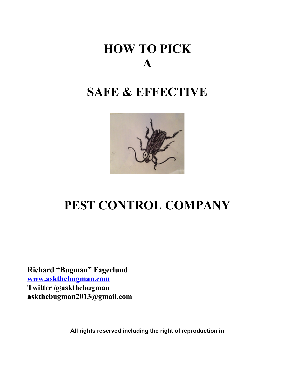# **HOW TO PICK A**

# **SAFE & EFFECTIVE**



# **PEST CONTROL COMPANY**

**Richard "Bugman" Fagerlund www.askthebugman.com Twitter @askthebugman askthebugman2013@gmail.com**

**All rights reserved including the right of reproduction in**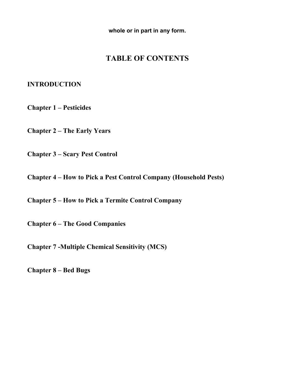**whole or in part in any form.** 

# **TABLE OF CONTENTS**

## **INTRODUCTION**

**Chapter 1 – Pesticides**

**Chapter 2 – The Early Years**

**Chapter 3 – Scary Pest Control**

**Chapter 4 – How to Pick a Pest Control Company (Household Pests)**

**Chapter 5 – How to Pick a Termite Control Company**

**Chapter 6 – The Good Companies**

**Chapter 7 -Multiple Chemical Sensitivity (MCS)**

**Chapter 8 – Bed Bugs**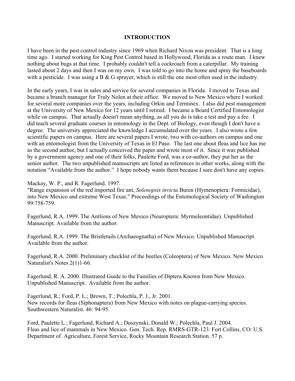#### **INTRODUCTION**

I have been in the pest control industry since 1969 when Richard Nixon was president. That is a long time ago. I started working for King Pest Control based in Hollywood, Florida as a route man. I knew nothing about bugs at that time. I probably couldn't tell a cockroach from a caterpillar. My training lasted about 2 days and then I was on my own. I was told to go into the home and spray the baseboards with a pesticide. I was using a B  $\&$  G sprayer, which is still the one most often used in the industry.

In the early years, I was in sales and service for several companies in Florida. I moved to Texas and became a branch manager for Truly Nolen at their office. We moved to New Mexico where I worked for several more companies over the years, including Orkin and Terminex. I also did pest management at the University of New Mexico for 12 years until I retired. I became a Board Certified Entomologist while on campus. That actually doesn't mean anything, as all you do is take a test and pay a fee. I did teach several graduate courses in entomology in the Dept. of Biology, even though I don't have a degree. The university appreciated the knowledge I accumulated over the years. I also wrote a few scientific papers on campus. Here are several papers I wrote, two with co-authors on campus and one with an entomologist from the University of Texas in El Paso. The last one about fleas and lice has me as the second author, but I actually conceived the paper and wrote most of it. Since it was published by a government agency and one of their folks, Paulette Ford, was a co-author, they put her as the senior author. The two unpublished manuscripts are listed as references in other works, along with the notation "Available from the author." I hope nobody wants them because I sure don't have any copies.

Mackay, W. P., and R. Fagerlund. 1997.

"Range expansion of the red imported fire ant, *Solenopsis invicta* Buren (Hymenoptera: Formicidae), into New Mexico and extreme West Texas." Proceedings of the Entomological Society of Washington 99:758-759.

Fagerlund, R.A. 1999. The Antlions of New Mexico (Neuroptera: Myrmeleontidae). Unpublished Manuscript. Available from the author.

Fagerlund, R.A. 1999. The Bristletails (Archaeognatha) of New Mexico. Unpublished Manuscript. Available from the author.

Fagerlund, R.A. 2000. Preliminary checklist of the beetles (Coleoptera) of New Mexico. New Mexico Naturalist's Notes 2(1)1-66.

Fagerlund, R. A. 2000. Illustrated Guide to the Families of Diptera Known from New Mexico. Unpublished Manuscript. Available from the author.

Fagerlund, R.; Ford, P. L.; Brown, T.; Polechla, P. J., Jr. 2001. New records for fleas (Siphonaptera) from New Mexico with notes on plague-carrying species. Southwestern Naturalist. 46: 94-95.

Ford, Paulette L.; Fagerlund, Richard A.; Duszynski, Donald W.; Polechla, Paul J. 2004. Fleas and lice of mammals in New Mexico. Gen. Tech. Rep. RMRS-GTR-123. Fort Collins, CO: U.S. Department of Agriculture, Forest Service, Rocky Mountain Research Station. 57 p.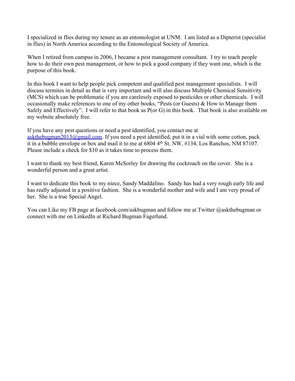I specialized in flies during my tenure as an entomologist at UNM. I am listed as a Dipterist (specialist in flies) in North America according to the Entomological Society of America.

When I retired from campus in 2006, I became a pest management consultant. I try to teach people how to do their own pest management, or how to pick a good company if they want one, which is the purpose of this book.

In this book I want to help people pick competent and qualified pest management specialists. I will discuss termites in detail as that is very important and will also discuss Multiple Chemical Sensitivity (MCS) which can be problematic if you are carelessly exposed to pesticides or other chemicals. I will occasionally make references to one of my other books, "Pests (or Guests) & How to Manage them Safely and Effectively". I will refer to that book as  $P($ or G $)$  in this book. That book is also available on my website absolutely free.

If you have any pest questions or need a pest identified, you contact me at  $a$ skthebugman $2013$ @gmail.com. If you need a pest identified, put it in a vial with some cotton, pack it in a bubble envelope or box and mail it to me at 6804 4<sup>th</sup> St. NW, #134, Los Ranchos, NM 87107. Please include a check for \$10 as it takes time to process them.

I want to thank my best friend, Karen McSorley for drawing the cockroach on the cover. She is a wonderful person and a great artist.

I want to dedicate this book to my niece, Sandy Maddalino. Sandy has had a very rough early life and has really adjusted in a positive fashion. She is a wonderful mother and wife and I am very proud of her. She is a true Special Angel.

You can Like my FB page at facebook.com/askbugman and follow me at Twitter @askthebugman or connect with me on LinkedIn at Richard Bugman Fagerlund.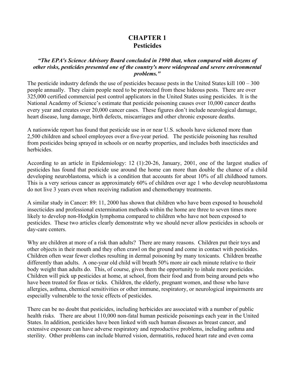## **CHAPTER 1 Pesticides**

### *"The EPA's Science Advisory Board concluded in 1990 that, when compared with dozens of other risks, pesticides presented one of the country's more widespread and severe environmental problems."*

The pesticide industry defends the use of pesticides because pests in the United States kill 100 – 300 people annually. They claim people need to be protected from these hideous pests. There are over 325,000 certified commercial pest control applicators in the United States using pesticides. It is the National Academy of Science's estimate that pesticide poisoning causes over 10,000 cancer deaths every year and creates over 20,000 cancer cases. These figures don't include neurological damage, heart disease, lung damage, birth defects, miscarriages and other chronic exposure deaths.

A nationwide report has found that pesticide use in or near U.S. schools have sickened more than 2,500 children and school employees over a five-year period. The pesticide poisoning has resulted from pesticides being sprayed in schools or on nearby properties, and includes both insecticides and herbicides.

According to an article in Epidemiology: 12 (1):20-26, January, 2001, one of the largest studies of pesticides has found that pesticide use around the home can more than double the chance of a child developing neuroblastoma, which is a condition that accounts for about 10% of all childhood tumors. This is a very serious cancer as approximately 60% of children over age 1 who develop neuroblastoma do not live 3 years even when receiving radiation and chemotherapy treatments.

A similar study in Cancer: 89: 11, 2000 has shown that children who have been exposed to household insecticides and professional extermination methods within the home are three to seven times more likely to develop non-Hodgkin lymphoma compared to children who have not been exposed to pesticides. These two articles clearly demonstrate why we should never allow pesticides in schools or day-care centers.

Why are children at more of a risk than adults? There are many reasons. Children put their toys and other objects in their mouth and they often crawl on the ground and come in contact with pesticides. Children often wear fewer clothes resulting in dermal poisoning by many toxicants. Children breathe differently than adults. A one-year old child will breath 50% more air each minute relative to their body weight than adults do. This, of course, gives them the opportunity to inhale more pesticides. Children will pick up pesticides at home, at school, from their food and from being around pets who have been treated for fleas or ticks. Children, the elderly, pregnant women, and those who have allergies, asthma, chemical sensitivities or other immune, respiratory, or neurological impairments are especially vulnerable to the toxic effects of pesticides.

There can be no doubt that pesticides, including herbicides are associated with a number of public health risks. There are about 110,000 non-fatal human pesticide poisonings each year in the United States. In addition, pesticides have been linked with such human diseases as breast cancer, and extensive exposure can have adverse respiratory and reproductive problems, including asthma and sterility. Other problems can include blurred vision, dermatitis, reduced heart rate and even coma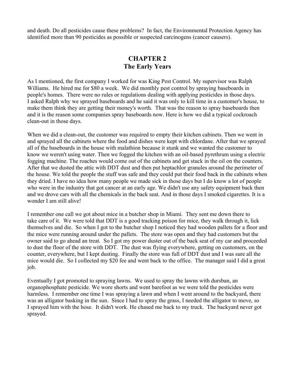and death. Do all pesticides cause these problems? In fact, the Environmental Protection Agency has identified more than 90 pesticides as possible or suspected carcinogens (cancer causers).

# **CHAPTER 2 The Early Years**

As I mentioned, the first company I worked for was King Pest Control. My supervisor was Ralph Williams. He hired me for \$80 a week. We did monthly pest control by spraying baseboards in people's homes. There were no rules or regulations dealing with applying pesticides in those days. I asked Ralph why we sprayed baseboards and he said it was only to kill time in a customer's house, to make them think they are getting their money's worth. That was the reason to spray baseboards then and it is the reason some companies spray baseboards now. Here is how we did a typical cockroach clean-out in those days.

When we did a clean-out, the customer was required to empty their kitchen cabinets. Then we went in and sprayed all the cabinets where the food and dishes were kept with chlordane. After that we sprayed all of the baseboards in the house with malathion because it stunk and we wanted the customer to know we weren't using water. Then we fogged the kitchen with an oil-based pyrethrum using a electric fogging machine. The roaches would come out of the cabinets and get stuck in the oil on the counters. After that we dusted the attic with DDT dust and then put heptachlor granules around the perimeter of the house. We told the people the stuff was safe and they could put their food back in the cabinets when they dried. I have no idea how many people we made sick in those days but I do know a lot of people who were in the industry that got cancer at an early age. We didn't use any safety equipment back then and we drove cars with all the chemicals in the back seat. And in those days I smoked cigarettes. It is a wonder I am still alive!

I remember one call we got about mice in a butcher shop in Miami. They sent me down there to take care of it. We were told that DDT is a good tracking poison for mice, they walk through it, lick themselves and die. So when I got to the butcher shop I noticed they had wooden pallets for a floor and the mice were running around under the pallets. The store was open and they had customers but the owner said to go ahead an treat. So I got my power duster out of the back seat of my car and proceeded to dust the floor of the store with DDT. The dust was flying everywhere, getting on customers, on the counter, everywhere, but I kept dusting. Finally the store was full of DDT dust and I was sure all the mice would die. So I collected my \$20 fee and went back to the office. The manager said I did a great job.

Eventually I got promoted to spraying lawns. We used to spray the lawns with dursban, an organophosphate pesticide. We wore shorts and went barefoot as we were told the pesticides were harmless. I remember one time I was spraying a lawn and when I went around to the backyard, there was an alligator basking in the sun. Since I had to spray the grass, I needed the alligator to move, so I sprayed him with the hose. It didn't work. He chased me back to my truck. The backyard never got sprayed.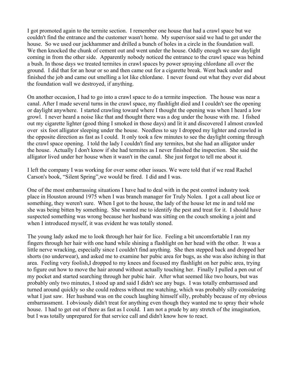I got promoted again to the termite section. I remember one house that had a crawl space but we couldn't find the entrance and the customer wasn't home. My supervisor said we had to get under the house. So we used our jackhammer and drilled a bunch of holes in a circle in the foundation wall. We then knocked the chunk of cement out and went under the house. Oddly enough we saw daylight coming in from the other side. Apparently nobody noticed the entrance to the crawl space was behind a bush. In those days we treated termites in crawl spaces by power spraying chlordane all over the ground. I did that for an hour or so and then came out for a cigarette break. Went back under and finished the job and came out smelling a lot like chlordane. I never found out what they ever did about the foundation wall we destroyed, if anything.

On another occasion, I had to go into a crawl space to do a termite inspection. The house was near a canal. After I made several turns in the crawl space, my flashlight died and I couldn't see the opening or daylight anywhere. I started crawling toward where I thought the opening was when I heard a low growl. I never heard a noise like that and thought there was a dog under the house with me. I fished out my cigarette lighter (good thing I smoked in those days) and lit it and discovered I almost crawled over six foot alligator sleeping under the house. Needless to say I dropped my lighter and crawled in the opposite direction as fast as I could. It only took a few minutes to see the daylight coming through the crawl space opening. I told the lady I couldn't find any termites, but she had an alligator under the house. Actually I don't know if she had termites as I never finished the inspection. She said the alligator lived under her house when it wasn't in the canal. She just forgot to tell me about it.

I left the company I was working for over some other issues. We were told that if we read Rachel Carson's book, "Silent Spring",we would be fired. I did and I was.

One of the most embarrassing situations I have had to deal with in the pest control industry took place in Houston around 1975 when I was branch manager for Truly Nolen. I got a call about lice or something, they weren't sure. When I got to the house, the lady of the house let me in and told me she was being bitten by something. She wanted me to identify the pest and treat for it. I should have suspected something was wrong because her husband was sitting on the couch smoking a joint and when I introduced myself, it was evident he was totally stoned.

The young lady asked me to look through her hair for lice. Feeling a bit uncomfortable I ran my fingers through her hair with one hand while shining a flashlight on her head with the other. It was a little nerve wracking, especially since I couldn't find anything. She then stepped back and dropped her shorts (no underwear), and asked me to examine her pubic area for bugs, as she was also itching in that area. Feeling very foolish,I dropped to my knees and focused my flashlight on her pubic area, trying to figure out how to move the hair around without actually touching her. Finally I pulled a pen out of my pocket and started searching through her pubic hair. After what seemed like two hours, but was probably only two minutes, I stood up and said I didn't see any bugs. I was totally embarrassed and turned around quickly so she could redress without me watching, which was probably silly considering what I just saw. Her husband was on the couch laughing himself silly, probably because of my obvious embarrassment. I obviously didn't treat for anything even though they wanted me to spray their whole house. I had to get out of there as fast as I could. I am not a prude by any stretch of the imagination, but I was totally unprepared for that service call and didn't know how to react.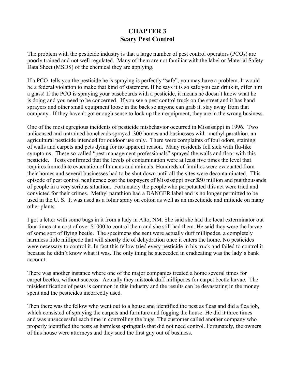# **CHAPTER 3 Scary Pest Control**

The problem with the pesticide industry is that a large number of pest control operators (PCOs) are poorly trained and not well regulated. Many of them are not familiar with the label or Material Safety Data Sheet (MSDS) of the chemical they are applying.

If a PCO tells you the pesticide he is spraying is perfectly "safe", you may have a problem. It would be a federal violation to make that kind of statement. If he says it is so safe you can drink it, offer him a glass! If the PCO is spraying your baseboards with a pesticide, it means he doesn't know what he is doing and you need to be concerned. If you see a pest control truck on the street and it has hand sprayers and other small equipment loose in the back so anyone can grab it, stay away from that company. If they haven't got enough sense to lock up their equipment, they are in the wrong business.

One of the most egregious incidents of pesticide misbehavior occurred in Mississippi in 1996. Two unlicensed and untrained boneheads sprayed 300 homes and businesses with methyl parathion, an agricultural pesticide intended for outdoor use only. There were complaints of foul odors, staining of walls and carpets and pets dying for no apparent reason. Many residents fell sick with flu-like symptoms. These so-called "pest management professionals" sprayed the walls and floor with this pesticide. Tests confirmed that the levels of contamination were at least five times the level that requires immediate evacuation of humans and animals. Hundreds of families were evacuated from their homes and several businesses had to be shut down until all the sites were decontaminated. This episode of pest control negligence cost the taxpayers of Mississippi over \$50 million and put thousands of people in a very serious situation. Fortunately the people who perpetuated this act were tried and convicted for their crimes. Methyl parathion had a DANGER label and is no longer permitted to be used in the U. S. It was used as a foliar spray on cotton as well as an insecticide and miticide on many other plants.

I got a letter with some bugs in it from a lady in Alto, NM. She said she had the local exterminator out four times at a cost of over \$1000 to control them and she still had them. He said they were the larvae of some sort of flying beetle. The specimens she sent were actually duff millipedes, a completely harmless little millipede that will shortly die of dehydration once it enters the home. No pesticides were necessary to control it. In fact this fellow tried every pesticide in his truck and failed to control it because he didn't know what it was. The only thing he succeeded in eradicating was the lady's bank account.

There was another instance where one of the major companies treated a home several times for carpet beetles, without success. Actually they mistook duff millipedes for carpet beetle larvae. The misidentification of pests is common in this industry and the results can be devastating in the money spent and the pesticides incorrectly used.

Then there was the fellow who went out to a house and identified the pest as fleas and did a flea job, which consisted of spraying the carpets and furniture and fogging the house. He did it three times and was unsuccessful each time in controlling the bugs. The customer called another company who properly identified the pests as harmless springtails that did not need control. Fortunately, the owners of this house were attorneys and they sued the first guy out of business.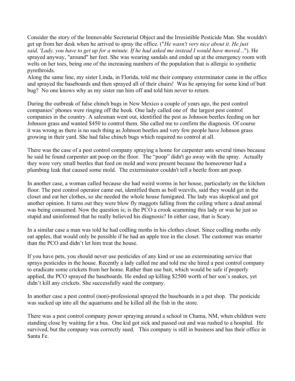Consider the story of the Immovable Secretarial Object and the Irresistible Pesticide Man. She wouldn't get up from her desk when he arrived to spray the office. ("*He wasn't very nice about it. He just said, 'Lady, you have to get up for a minute. If he had asked me instead I would have moved.*.."). He sprayed anyway, "around" her feet. She was wearing sandals and ended up at the emergency room with welts on her toes, being one of the increasing numbers of the population that is allergic to synthetic pyrethroids.

Along the same line, my sister Linda, in Florida, told me their company exterminator came in the office and sprayed the baseboards and then sprayed all of their chairs! Was he spraying for some kind of butt bug? No one knows why as my sister ran him off and told him never to return.

During the outbreak of false chinch bugs in New Mexico a couple of years ago, the pest control companies' phones were ringing off the hook. One lady called one of the largest pest control companies in the country. A salesman went out, identified the pest as Johnson beetles feeding on her Johnson grass and wanted \$450 to control them. She called me to confirm the diagnosis. Of course it was wrong as there is no such thing as Johnson beetles and very few people have Johnson grass growing in their yard. She had false chinch bugs which required no control at all.

There was the case of a pest control company spraying a home for carpenter ants several times because he said he found carpenter ant poop on the floor. The "poop" didn't go away with the spray. Actually they were very small beetles that feed on mold and were present because the homeowner had a plumbing leak that caused some mold. The exterminator couldn't tell a beetle from ant poop.

In another case, a woman called because she had weird worms in her house, particularly on the kitchen floor. The pest control operator came out, identified them as boll weevils, said they would get in the closet and eat her clothes, so she needed the whole house fumigated. The lady was skeptical and got another opinion. It turns out they were blow fly maggots falling from the ceiling where a dead animal was being consumed. Now the question is; is the PCO a crook scamming this lady or was he just so stupid and uninformed that he really believed his diagnosis? In either case, that is Scary.

In a similar case a man was told he had codling moths in his clothes closet. Since codling moths only eat apples, that would only be possible if he had an apple tree in the closet. The customer was smarter than the PCO and didn't let him treat the house.

If you have pets, you should never use pesticides of any kind or use an exterminating service that sprays pesticides in the house. Recently a lady called me and told me she hired a pest control company to eradicate some crickets from her home. Rather than use bait, which would be safe if properly applied, the PCO sprayed the baseboards. He ended up killing \$2500 worth of her son's snakes, yet didn't kill any crickets. She successfully sued the company.

In another case a pest control (non)-professional sprayed the baseboards in a pet shop. The pesticide was sucked up into all the aquariums and he killed all the fish in the store.

There was a pest control company power spraying around a school in Chama, NM, when children were standing close by waiting for a bus. One kid got sick and passed out and was rushed to a hospital. He survived, but the company was correctly sued. This company is still in business and has their office in Santa Fe.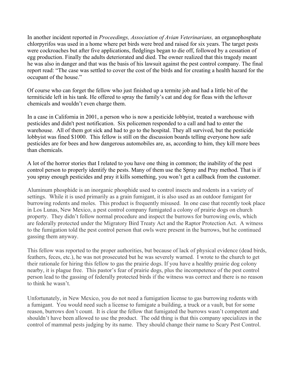In another incident reported in *Proceedings, Association of Avian Veterinarians,* an organophosphate chlorpyrifos was used in a home where pet birds were bred and raised for six years. The target pests were cockroaches but after five applications, fledglings began to die off, followed by a cessation of egg production. Finally the adults deteriorated and died. The owner realized that this tragedy meant he was also in danger and that was the basis of his lawsuit against the pest control company. The final report read: "The case was settled to cover the cost of the birds and for creating a health hazard for the occupant of the house."

Of course who can forget the fellow who just finished up a termite job and had a little bit of the termiticide left in his tank. He offered to spray the family's cat and dog for fleas with the leftover chemicals and wouldn't even charge them.

In a case in California in 2001, a person who is now a pesticide lobbyist, treated a warehouse with pesticides and didn't post notification. Six policemen responded to a call and had to enter the warehouse. All of them got sick and had to go to the hospital. They all survived, but the pesticide lobbyist was fined \$1000. This fellow is still on the discussion boards telling everyone how safe pesticides are for bees and how dangerous automobiles are, as, according to him, they kill more bees than chemicals.

A lot of the horror stories that I related to you have one thing in common; the inability of the pest control person to properly identify the pests. Many of them use the Spray and Pray method. That is if you spray enough pesticides and pray it kills something, you won't get a callback from the customer.

Aluminum phosphide is an inorganic phosphide used to control insects and rodents in a variety of settings. While it is used primarily as a grain fumigant, it is also used as an outdoor fumigant for burrowing rodents and moles. This product is frequently misused. In one case that recently took place in Los Lunas, New Mexico, a pest control company fumigated a colony of prairie dogs on church property. They didn't follow normal procedure and inspect the burrows for burrowing owls, which are federally protected under the Migratory Bird Treaty Act and the Raptor Protection Act. A witness to the fumigation told the pest control person that owls were present in the burrows, but he continued gassing them anyway.

This fellow was reported to the proper authorities, but because of lack of physical evidence (dead birds, feathers, feces, etc.), he was not prosecuted but he was severely warned. I wrote to the church to get their rationale for hiring this fellow to gas the prairie dogs. If you have a healthy prairie dog colony nearby, it is plague free. This pastor's fear of prairie dogs, plus the incompetence of the pest control person lead to the gassing of federally protected birds if the witness was correct and there is no reason to think he wasn't.

Unfortunately, in New Mexico, you do not need a fumigation license to gas burrowing rodents with a fumigant. You would need such a license to fumigate a building, a truck or a vault, but for some reason, burrows don't count. It is clear the fellow that fumigated the burrows wasn't competent and shouldn't have been allowed to use the product. The odd thing is that this company specializes in the control of mammal pests judging by its name. They should change their name to Scary Pest Control.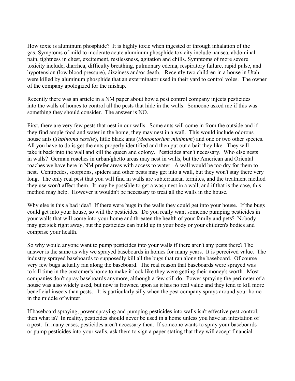How toxic is aluminum phosphide? It is highly toxic when ingested or through inhalation of the gas. Symptoms of mild to moderate acute aluminum phosphide toxicity include nausea, abdominal pain, tightness in chest, excitement, restlessness, agitation and chills. Symptoms of more severe toxicity include, diarrhea, difficulty breathing, pulmonary edema, respiratory failure, rapid pulse, and hypotension (low blood pressure), dizziness and/or death. Recently two children in a house in Utah were killed by aluminum phosphide that an exterminator used in their yard to control voles. The owner of the company apologized for the mishap.

Recently there was an article in a NM paper about how a pest control company injects pesticides into the walls of homes to control all the pests that hide in the walls. Someone asked me if this was something they should consider. The answer is NO.

First, there are very few pests that nest in our walls. Some ants will come in from the outside and if they find ample food and water in the home, they may nest in a wall. This would include odorous house ants (*Tapinoma sessile*), little black ants (*Monomorium minimum*) and one or two other species. All you have to do is get the ants properly identified and then put out a bait they like. They will take it back into the wall and kill the queen and colony. Pesticides aren't necessary. Who else nests in walls? German roaches in urban/ghetto areas may nest in walls, but the American and Oriental roaches we have here in NM prefer areas with access to water. A wall would be too dry for them to nest. Centipedes, scorpions, spiders and other pests may get into a wall, but they won't stay there very long. The only real pest that you will find in walls are subterranean termites, and the treatment method they use won't affect them. It may be possible to get a wasp nest in a wall, and if that is the case, this method may help. However it wouldn't be necessary to treat all the walls in the house.

Why else is this a bad idea? If there were bugs in the walls they could get into your house. If the bugs could get into your house, so will the pesticides. Do you really want someone pumping pesticides in your walls that will come into your home and threaten the health of your family and pets? Nobody may get sick right away, but the pesticides can build up in your body or your children's bodies and comprise your health.

So why would anyone want to pump pesticides into your walls if there aren't any pests there? The answer is the same as why we sprayed baseboards in homes for many years. It is perceived value. The industry sprayed baseboards to supposedly kill all the bugs that ran along the baseboard. Of course very few bugs actually ran along the baseboard. The real reason that baseboards were sprayed was to kill time in the customer's home to make it look like they were getting their money's worth. Most companies don't spray baseboards anymore, although a few still do. Power spraying the perimeter of a house was also widely used, but now is frowned upon as it has no real value and they tend to kill more beneficial insects than pests. It is particularly silly when the pest company sprays around your home in the middle of winter.

If baseboard spraying, power spraying and pumping pesticides into walls isn't effective pest control, then what is? In reality, pesticides should never be used in a home unless you have an infestation of a pest. In many cases, pesticides aren't necessary then. If someone wants to spray your baseboards or pump pesticides into your walls, ask them to sign a paper stating that they will accept financial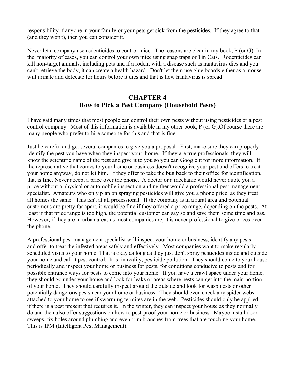responsibility if anyone in your family or your pets get sick from the pesticides. If they agree to that (and they won't), then you can consider it.

Never let a company use rodenticides to control mice. The reasons are clear in my book, P (or G). In the majority of cases, you can control your own mice using snap traps or Tin Cats. Rodenticides can kill non-target animals, including pets and if a rodent with a disease such as hantavirus dies and you can't retrieve the body, it can create a health hazard. Don't let them use glue boards either as a mouse will urinate and defecate for hours before it dies and that is how hantavirus is spread.

## **CHAPTER 4 How to Pick a Pest Company (Household Pests)**

I have said many times that most people can control their own pests without using pesticides or a pest control company. Most of this information is available in my other book, P (or G).Of course there are many people who prefer to hire someone for this and that is fine.

Just be careful and get several companies to give you a proposal. First, make sure they can properly identify the pest you have when they inspect your home. If they are true professionals, they will know the scientific name of the pest and give it to you so you can Google it for more information. If the representative that comes to your home or business doesn't recognize your pest and offers to treat your home anyway, do not let him. If they offer to take the bug back to their office for identification, that is fine. Never accept a price over the phone. A doctor or a mechanic would never quote you a price without a physical or automobile inspection and neither would a professional pest management specialist. Amateurs who only plan on spraying pesticides will give you a phone price, as they treat all homes the same. This isn't at all professional. If the company is in a rural area and potential customer's are pretty far apart, it would be fine if they offered a price range, depending on the pests. At least if that price range is too high, the potential customer can say so and save them some time and gas. However, if they are in urban areas as most companies are, it is never professional to give prices over the phone.

A professional pest management specialist will inspect your home or business, identify any pests and offer to treat the infested areas safely and effectively. Most companies want to make regularly scheduled visits to your home. That is okay as long as they just don't spray pesticides inside and outside your home and call it pest control. It is, in reality, pesticide pollution. They should come to your house periodically and inspect your home or business for pests, for conditions conducive to pests and for possible entrance ways for pests to come into your home. If you have a crawl space under your home, they should go under your house and look for leaks or areas where pests can get into the main portion of your home. They should carefully inspect around the outside and look for wasp nests or other potentially dangerous pests near your home or business. They should even check any spider webs attached to your home to see if swarming termites are in the web. Pesticides should only be applied if there is a pest present that requires it. In the winter, they can inspect your house as they normally do and then also offer suggestions on how to pest-proof your home or business. Maybe install door sweeps, fix holes around plumbing and even trim branches from trees that are touching your home. This is IPM (Intelligent Pest Management).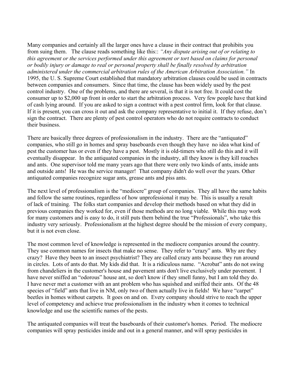Many companies and certainly all the larger ones have a clause in their contract that prohibits you from suing them. The clause reads something like this:: *"Any dispute arising out of or relating to this agreement or the services performed under this agreement or tort based on claims for personal or bodily injury or damage to real or personal property shall be finally resolved by arbitration administered under the commercial arbitration rules of the American Arbitration Association."* In 1995, the U. S. Supreme Court established that mandatory arbitration clauses could be used in contracts between companies and consumers. Since that time, the clause has been widely used by the pest control industry. One of the problems, and there are several, is that it is not free. It could cost the consumer up to \$2,000 up front in order to start the arbitration process. Very few people have that kind of cash lying around. If you are asked to sign a contract with a pest control firm, look for that clause. If it is present, you can cross it out and ask the company representative to initial it. If they refuse, don't sign the contract. There are plenty of pest control operators who do not require contracts to conduct their business.

There are basically three degrees of professionalism in the industry. There are the "antiquated" companies, who still go in homes and spray baseboards even though they have no idea what kind of pest the customer has or even if they have a pest. Mostly it is old-timers who still do this and it will eventually disappear. In the antiquated companies in the industry, all they know is they kill roaches and ants. One supervisor told me many years ago that there were only two kinds of ants, inside ants and outside ants! He was the service manager! That company didn't do well over the years. Other antiquated companies recognize sugar ants, grease ants and piss ants.

The next level of professionalism is the "mediocre" group of companies. They all have the same habits and follow the same routines, regardless of how unprofessional it may be. This is usually a result of lack of training. The folks start companies and develop their methods based on what they did in previous companies they worked for, even if those methods are no long viable. While this may work for many customers and is easy to do, it still puts them behind the true "Professionals", who take this industry very seriously. Professionalism at the highest degree should be the mission of every company, but it is not even close.

The most common level of knowledge is represented in the mediocre companies around the country. They use common names for insects that make no sense. They refer to "crazy" ants. Why are they crazy? Have they been to an insect psychiatrist? They are called crazy ants because they run around in circles. Lots of ants do that. My kids did that. It is a ridiculous name. "Acrobat" ants do not swing from chandeliers in the customer's house and pavement ants don't live exclusively under pavement. I have never sniffed an "odorous" house ant, so don't know if they smell funny, but I am told they do. I have never met a customer with an ant problem who has squished and sniffed their ants. Of the 48 species of "field" ants that live in NM, only two of them actually live in fields! We have "carpet" beetles in homes without carpets. It goes on and on. Every company should strive to reach the upper level of competency and achieve true professionalism in the industry when it comes to technical knowledge and use the scientific names of the pests.

The antiquated companies will treat the baseboards of their customer's homes. Period. The mediocre companies will spray pesticides inside and out in a general manner, and will spray pesticides in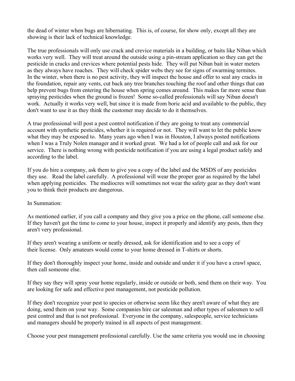the dead of winter when bugs are hibernating. This is, of course, for show only, except all they are showing is their lack of technical knowledge.

The true professionals will only use crack and crevice materials in a building, or baits like Niban which works very well. They will treat around the outside using a pin-stream application so they can get the pesticide in cracks and crevices where potential pests hide. They will put Niban bait in water meters as they always have roaches. They will check spider webs they see for signs of swarming termites. In the winter, when there is no pest activity, they will inspect the house and offer to seal any cracks in the foundation, repair any vents, cut back any tree branches touching the roof and other things that can help prevent bugs from entering the house when spring comes around. This makes far more sense than spraying pesticides when the ground is frozen! Some so-called professionals will say Niban doesn't work. Actually it works very well, but since it is made from boric acid and available to the public, they don't want to use it as they think the customer may decide to do it themselves.

A true professional will post a pest control notification if they are going to treat any commercial account with synthetic pesticides, whether it is required or not. They will want to let the public know what they may be exposed to. Many years ago when I was in Houston, I always posted notifications when I was a Truly Nolen manager and it worked great. We had a lot of people call and ask for our service. There is nothing wrong with pesticide notification if you are using a legal product safely and according to the label.

If you do hire a company, ask them to give you a copy of the label and the MSDS of any pesticides they use. Read the label carefully. A professional will wear the proper gear as required by the label when applying pesticides. The mediocres will sometimes not wear the safety gear as they don't want you to think their products are dangerous.

In Summation:

As mentioned earlier, if you call a company and they give you a price on the phone, call someone else. If they haven't got the time to come to your house, inspect it properly and identify any pests, then they aren't very professional.

If they aren't wearing a uniform or neatly dressed, ask for identification and to see a copy of their license. Only amateurs would come to your home dressed in T-shirts or shorts.

If they don't thoroughly inspect your home, inside and outside and under it if you have a crawl space, then call someone else.

If they say they will spray your home regularly, inside or outside or both, send them on their way. You are looking for safe and effective pest management, not pesticide pollution.

If they don't recognize your pest to species or otherwise seem like they aren't aware of what they are doing, send them on your way. Some companies hire car salesman and other types of salesmen to sell pest control and that is not professional. Everyone in the company, salespeople, service technicians and managers should be properly trained in all aspects of pest management.

Choose your pest management professional carefully. Use the same criteria you would use in choosing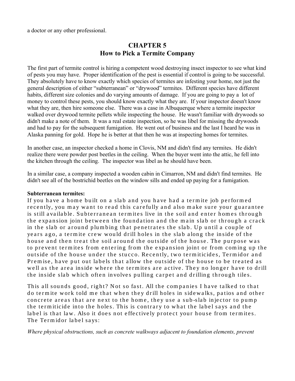a doctor or any other professional.

# **CHAPTER 5 How to Pick a Termite Company**

The first part of termite control is hiring a competent wood destroying insect inspector to see what kind of pests you may have. Proper identification of the pest is essential if control is going to be successful. They absolutely have to know exactly which species of termites are infesting your home, not just the general description of either "subterranean" or "drywood" termites. Different species have different habits, different size colonies and do varying amounts of damage. If you are going to pay a lot of money to control these pests, you should know exactly what they are. If your inspector doesn't know what they are, then hire someone else. There was a case in Albuquerque where a termite inspector walked over drywood termite pellets while inspecting the house. He wasn't familiar with drywoods so didn't make a note of them. It was a real estate inspection, so he was libel for missing the drywoods and had to pay for the subsequent fumigation. He went out of business and the last I heard he was in Alaska panning for gold. Hope he is better at that then he was at inspecting homes for termites.

In another case, an inspector checked a home in Clovis, NM and didn't find any termites. He didn't realize there were powder post beetles in the ceiling. When the buyer went into the attic, he fell into the kitchen through the ceiling. The inspector was libel as he should have been.

In a similar case, a company inspected a wooden cabin in Cimarron, NM and didn't find termites. He didn't see all of the bostrichid beetles on the window sills and ended up paying for a fumigation.

#### **Subterranean termites:**

If you have a home built on a slab and you have had a termite job performed recently, you may want to read this carefully and also make sure your guarantee is still available. Subterranean termites live in the soil and enter homes through the expansion joint between the foundation and the main slab or through a crack in the slab or around plumbing that penetrates the slab. Up until a couple of years ago, a termite crew would drill holes in the slab along the inside of the house and then treat the soil around the outside of the house. The purpose was to prevent termites from entering from the expansion joint or from coming up the outside of the house under the stucco. Recently, two termiticides, Termidor and Premise, have put out labels that allow the outside of the house to be treated as well as the area inside where the termites are active. They no longer have to drill the inside slab which often involves pulling carpet and drilling through tiles.

This all sounds good, right? Not so fast. All the companies I have talked to that do termite work told me that when they drill holes in sidewalks, patios and other concrete areas that are next to the home, they use a sub-slab injector to pump the termiticide into the holes. This is contrary to what the label says and the label is that law. Also it does not effectively protect your house from termites. The Termidor label says:

*Where physical obstructions, such as concrete walkways adjacent to foundation elements, prevent*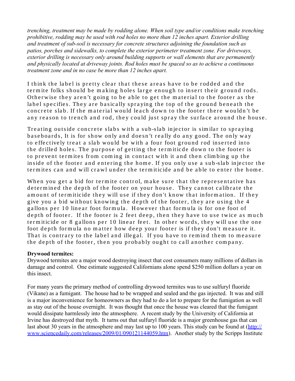*trenching, treatment may be made by rodding alone. When soil type and/or conditions make trenching prohibitive, rodding may be used with rod holes no more than 12 inches apart. Exterior drilling and treatment of sub-soil is necessary for concrete structures adjoining the foundation such as patios, porches and sidewalks, to complete the exterior perimeter treatment zone. For driveways, exterior drilling is necessary only around building supports or wall elements that are permanently and physically located at driveway joints. Rod holes must be spaced so as to achieve a continuous treatment zone and in no case be more than 12 inches apart.* 

I think the label is pretty clear that these areas have to be rodded and the termite folks should be making holes large enough to insert their ground rods. Otherwise they aren't going to be able to get the material to the footer as the label specifies. They are basically spraying the top of the ground beneath the concrete slab. If the material would leach down to the footer there wouldn't be any reason to trench and rod, they could just spray the surface around the house.

Treating outside concrete slabs with a sub-slab injector is similar to spraying baseboards, It is for show only and doesn't really do any good. The only way to effectively treat a slab would be with a four foot ground rod inserted into the drilled holes. The purpose of getting the termiticde down to the footer is to prevent termites from coming in contact with it and then climbing up the inside of the footer and entering the home. If you only use a sub-slab injector the termites can and will crawl under the termiticide and be able to enter the home.

When you get a bid for termite control, make sure that the representative has determined the depth of the footer on your house. They cannot calibrate the amount of termiticide they will use if they don't know that information. If they give you a bid without knowing the depth of the footer, they are using the 4 gallons per 10 linear foot formula. However that formula is for one foot of depth of footer. If the footer is 2 feet deep, then they have to use twice as much termiticide or 8 gallons per 10 linear feet. In other words, they will use the one foot depth formula no matter how deep your footer is if they don't measure it. That is contrary to the label and illegal. If you have to remind them to measure the depth of the footer, then you probably ought to call another company.

#### **Drywood termites:**

Drywood termites are a major wood destroying insect that cost consumers many millions of dollars in damage and control. One estimate suggested Californians alone spend \$250 million dollars a year on this insect.

For many years the primary method of controlling drywood termites was to use sulfuryl fluoride (Vikane) as a fumigant. The house had to be wrapped and sealed and the gas injected. It was and still is a major inconvenience for homeowners as they had to do a lot to prepare for the fumigation as well as stay out of the house overnight. It was thought that once the house was cleared that the fumigant would dissipate harmlessly into the atmosphere. A recent study by the University of California at Irvine has destroyed that myth. It turns out that sulfuryl fluoride is a major greenhouse gas that can last about 30 years in the atmosphere and may last up to 100 years. This study can be found at (http:// www.sciencedaily.com/releases/2009/01/090121144059.htm). Another study by the Scripps Institute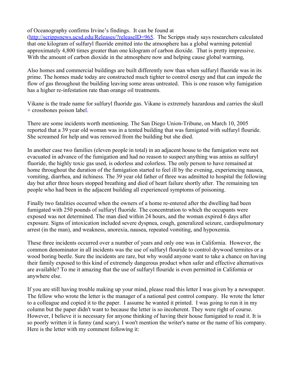## of Oceanography confirms Irvine's findings. It can be found at

(http://scrippsnews.ucsd.edu/Releases/?releaseID=965. The Scripps study says researchers calculated that one kilogram of sulfuryl fluoride emitted into the atmosphere has a global warming potential approximately 4,800 times greater than one kilogram of carbon dioxide. That is pretty impressive. With the amount of carbon dioxide in the atmosphere now and helping cause global warming,

Also homes and commercial buildings are built differently now than when sulfuryl fluoride was in its prime. The homes made today are constructed much tighter to control energy and that can impede the flow of gas throughout the building leaving some areas untreated. This is one reason why fumigation has a higher re-infestation rate than orange oil treatments.

Vikane is the trade name for sulfuryl fluoride gas. Vikane is extremely hazardous and carries the skull + crossbones poison label.

There are some incidents worth mentioning. The San Diego Union-Tribune, on March 10, 2005 reported that a 39 year old woman was in a tented building that was fumigated with sulfuryl flouride. She screamed for help and was removed from the building but she died.

In another case two families (eleven people in total) in an adjacent house to the fumigation were not evacuated in advance of the fumigation and had no reason to suspect anything was amiss as sulfuryl fluoride, the highly toxic gas used, is odorless and colorless. The only person to have remained at home throughout the duration of the fumigation started to feel ill by the evening, experiencing nausea, vomiting, diarrhea, and itchiness. The 39 year old father of three was admitted to hospital the following day but after three hours stopped breathing and died of heart failure shortly after. The remaining ten people who had been in the adjacent building all experienced symptoms of poisoning.

Finally two fatalities occurred when the owners of a home re-entered after the dwelling had been fumigated with 250 pounds of sulfuryl fluoride. The concentration to which the occupants were exposed was not determined. The man died within 24 hours, and the woman expired 6 days after exposure. Signs of intoxication included severe dyspnea, cough, generalized seizure, cardiopulmonary arrest (in the man), and weakness, anorexia, nausea, repeated vomiting, and hypoxemia.

These three incidents occurred over a number of years and only one was in California. However, the common denominator in all incidents was the use of sulfuryl flouride to control drywood termites or a wood boring beetle. Sure the incidents are rare, but why would anyone want to take a chance on having their family exposed to this kind of extremely dangerous product when safer and effective alternatives are available? To me it amazing that the use of sulfuryl flouride is even permitted in California or anywhere else.

If you are still having trouble making up your mind, please read this letter I was given by a newspaper. The fellow who wrote the letter is the manager of a national pest control company. He wrote the letter to a colleague and copied it to the paper. I assume he wanted it printed. I was going to run it in my column but the paper didn't want to because the letter is so incoherent. They were right of course. However, I believe it is necessary for anyone thinking of having their house fumigated to read it. It is so poorly written it is funny (and scary). I won't mention the writer's name or the name of his company. Here is the letter with my comment following it: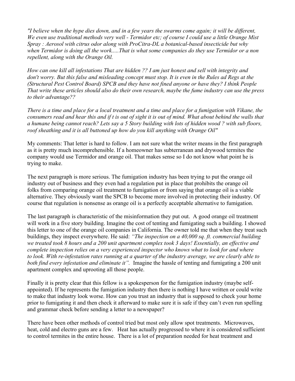*"I believe when the hype dies down, and in a few years the swarms come again; it will be different, We even use traditional methods very well - Termidor etc; of course I could use a little Orange Mist Spray : Aerosol with citrus odor along with ProCitra-DL a botanical-based insecticide but why when Termidor is doing all the work.....That is what some companies do they use Termidor or a non repellent, along with the Orange Oil.*

*How can one kill all infestations That are hidden ?? I am just honest and sell with integrity and don't worry. But this false and misleading concept must stop. It is even in the Rules ad Regs at the (Structural Pest Control Board) SPCB and they have not fined anyone or have they? I think People That write these articles should also do their own research, maybe the fume industry can use the press to their advantage??*

*There is a time and place for a local treatment and a time and place for a fumigation with Vikane, the consumers read and hear this and if t is out of sight it is out of mind. What about behind the walls that a humane being cannot reach? Lets say a 5 Story building with lots of hidden wood ? with sub floors, roof sheathing and it is all buttoned up how do you kill anything with Orange Oil"*

My comments: That letter is hard to follow. I am not sure what the writer means in the first paragraph as it is pretty much incomprehensible. If a homeowner has subterranean and drywood termites the company would use Termidor and orange oil. That makes sense so I do not know what point he is trying to make.

The next paragraph is more serious. The fumigation industry has been trying to put the orange oil industry out of business and they even had a regulation put in place that prohibits the orange oil folks from comparing orange oil treatment to fumigation or from saying that orange oil is a viable alternative. They obviously want the SPCB to become more involved in protecting their industry. Of course that regulation is nonsense as orange oil is a perfectly acceptable alternative to fumigation.

The last paragraph is characteristic of the misinformation they put out. A good orange oil treatment will work in a five story building. Imagine the cost of tenting and fumigating such a building. I showed this letter to one of the orange oil companies in California. The owner told me that when they treat such buildings, they inspect everywhere. He said: *"The inspection on a 40,000 sq. ft. commercial building we treated took 8 hours and a 200 unit apartment complex took 3 days! Essentially, an effective and complete inspection relies on a very experienced inspector who knows what to look for and where to look. With re-infestation rates running at a quarter of the industry average, we are clearly able to both find every infestation and eliminate it".* Imagine the hassle of tenting and fumigating a 200 unit apartment complex and uprooting all those people.

Finally it is pretty clear that this fellow is a spokesperson for the fumigation industry (maybe selfappointed). If he represents the fumigation industry then there is nothing I have written or could write to make that industry look worse. How can you trust an industry that is supposed to check your home prior to fumigating it and then check it afterward to make sure it is safe if they can't even run spelling and grammar check before sending a letter to a newspaper?

There have been other methods of control tried but most only allow spot treatments. Microwaves, heat, cold and electro guns are a few. Heat has actually progressed to where it is considered sufficient to control termites in the entire house. There is a lot of preparation needed for heat treatment and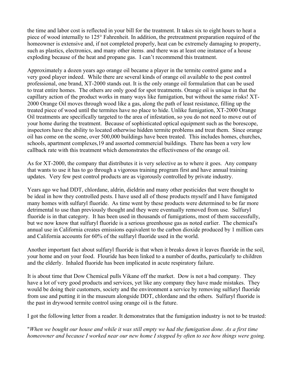the time and labor cost is reflected in your bill for the treatment. It takes six to eight hours to heat a piece of wood internally to 125° Fahrenheit. In addition, the pretreatment preparation required of the homeowner is extensive and, if not completed properly, heat can be extremely damaging to property, such as plastics, electronics, and many other items. and there was at least one instance of a house exploding because of the heat and propane gas. I can't recommend this treatment.

Approximately a dozen years ago orange oil became a player in the termite control game and a very good player indeed. While there are several kinds of orange oil available to the pest control professional, one brand, XT-2000 stands out. It is the only orange oil formulation that can be used to treat entire homes. The others are only good for spot treatments. Orange oil is unique in that the capillary action of the product works in many ways like fumigation, but without the same risks! XT-2000 Orange Oil moves through wood like a gas, along the path of least resistance, filling up the treated piece of wood until the termites have no place to hide. Unlike fumigation, XT-2000 Orange Oil treatments are specifically targeted to the area of infestation, so you do not need to move out of your home during the treatment. Because of sophisticated optical equipment such as the borescope, inspectors have the ability to located otherwise hidden termite problems and treat them. Since orange oil has come on the scene, over 500,000 buildings have been treated. This includes homes, churches, schools, apartment complexes,19 and assorted commercial buildings. There has been a very low callback rate with this treatment which demonstrates the effectiveness of the orange oil.

As for XT-2000, the company that distributes it is very selective as to where it goes. Any company that wants to use it has to go through a vigorous training program first and have annual training updates. Very few pest control products are as vigorously controlled by private industry.

Years ago we had DDT, chlordane, aldrin, dieldrin and many other pesticides that were thought to be ideal in how they controlled pests. I have used all of those products myself and I have fumigated many homes with sulfuryl fluoride. As time went by these products were determined to be far more detrimental to use than previously thought and they were eventually removed from use. Sulfuryl fluoride is in that category. It has been used in thousands of fumigations, most of them successfully, but we now know that sulfuryl fluoride is a serious greenhouse gas as noted earlier. The chemical's annual use in California creates emissions equivalent to the carbon dioxide produced by 1 million cars and California accounts for 60% of the sulfuryl fluoride used in the world.

Another important fact about sulfuryl fluoride is that when it breaks down it leaves fluoride in the soil, your home and on your food. Flouride has been linked to a number of deaths, particularly to children and the elderly. Inhaled fluoride has been implicated in acute respiratory failure.

It is about time that Dow Chemical pulls Vikane off the market. Dow is not a bad company. They have a lot of very good products and services, yet like any company they have made mistakes. They would be doing their customers, society and the environment a service by removing sulfuryl fluoride from use and putting it in the museum alongside DDT, chlordane and the others. Sulfuryl fluoride is the past in drywood termite control using orange oil is the future.

I got the following letter from a reader. It demonstrates that the fumigation industry is not to be trusted:

"*When we bought our house and while it was still empty we had the fumigation done. As a first time homeowner and because I worked near our new home I stopped by often to see how things were going.*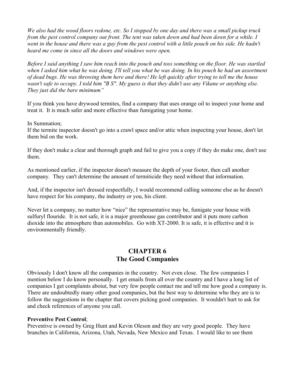*We also had the wood floors redone, etc. So I stopped by one day and there was a small pickup truck from the pest control company out front. The tent was taken down and had been down for a while. I went in the house and there was a guy from the pest control with a little pouch on his side. He hadn't heard me come in since all the doors and windows were open.* 

*Before I said anything I saw him reach into the pouch and toss something on the floor. He was startled when I asked him what he was doing. I'll tell you what he was doing. In his pouch he had an assortment of dead bugs. He was throwing them here and there! He left quickly after trying to tell me the house wasn't safe to occupy. I told him "B S". My guess is that they didn't use any Vikane or anything else. They just did the bare minimum"*

If you think you have drywood termites, find a company that uses orange oil to inspect your home and treat it. It is much safer and more effective than fumigating your home.

In Summation;

If the termite inspector doesn't go into a crawl space and/or attic when inspecting your house, don't let them bid on the work.

If they don't make a clear and thorough graph and fail to give you a copy if they do make one, don't use them.

As mentioned earlier, if the inspector doesn't measure the depth of your footer, then call another company. They can't determine the amount of termiticide they need without that information.

And, if the inspector isn't dressed respectfully, I would recommend calling someone else as he doesn't have respect for his company, the industry or you, his client.

Never let a company, no matter how "nice" the representative may be, fumigate your house with sulfuryl flouride. It is not safe, it is a major greenhouse gas contributor and it puts more carbon dioxide into the atmosphere than automobiles. Go with XT-2000. It is safe, it is effective and it is environmentally friendly.

## **CHAPTER 6 The Good Companies**

Obviously I don't know all the companies in the country. Not even close. The few companies I mention below I do know personally. I get emails from all over the country and I have a long list of companies I get complaints aboiut, but very few people contact me and tell me how good a company is. There are undoubtedly many other good companies, but the best way to determine who they are is to follow the suggestions in the chapter that covers picking good companies. It wouldn't hurt to ask for and check references of anyone you call.

#### **Preventive Pest Control**;

Preventive is owned by Greg Hunt and Kevin Oleson and they are very good people. They have branches in California, Arizona, Utah, Nevada, New Mexico and Texas. I would like to see them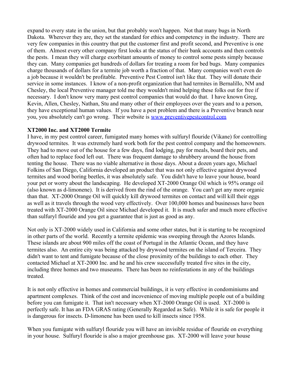expand to every state in the union, but that probably won't happen. Not that many bugs in North Dakota. Wherever they are, they set the standard for ethics and competency in the industry. There are very few companies in this country that put the customer first and profit second, and Preventive is one of them. Almost every other company first looks at the status of their bank accounts and then controls the pests. I mean they will charge exorbitant amounts of money to control some pests simply because they can. Many companies get hundreds of dollars for treating a room for bed bugs. Many companies charge thousands of dollars for a termite job worth a fraction of that. Many companies won't even do a job because it wouldn't be profitable. Preventive Pest Control isn't like that. They will donate their service in some instances. I know of a non-profit organization that had termites in Bernalillo, NM and Chesley, the local Preventive manager told me they wouldn't mind helping these folks out for free if necessary. I don't know very many pest control companies that would do that. I have known Greg, Kevin, Allen, Chesley, Nathan, Stu and many other of their employees over the years and to a person, they have exceptional human values. If you have a pest problem and there is a Preventive branch near you, you absolutely can't go wrong. Their website is **www.preventivepestcontrol.com** 

#### **XT2000 Inc. and XT2000 Termite**

I have, in my pest control career, fumigated many homes with sulfuryl flouride (Vikane) for controlling drywood termites. It was extremely hard work both for the pest control company and the homeowners. They had to move out of the house for a few days, find lodging, pay for meals, board their pets, and often had to replace food left out. There was frequent damage to shrubbery around the house from tenting the house. There was no viable alternative in those days. About a dozen years ago, Michael Folkins of San Diego, California developed an product that was not only effective against drywood termites and wood boring beetles, it was absolutely safe. You didn't have to leave your house, board your pet or worry about the landscaping. He developed XT-2000 Orange Oil which is 95% orange oil (also known as d-limonene). It is derived from the rind of the orange. You can't get any more organic than that. XT-2000 Orange Oil will quickly kill drywood termites on contact and will kill their eggs as well as it travels through the wood very effectively. Over 100,000 homes and businesses have been treated with XT-2000 Orange Oil since Michael developed it. It is much safer and much more effective than sulfuryl flouride and you get a guarantee that is just as good as any.

Not only is XT-2000 widely used in California and some other states, but it is starting to be recognized in other parts of the world. Recently a termite epidemic was sweeping through the Azores Islands. These islands are about 900 miles off the coast of Portugal in the Atlantic Ocean, and they have termites also. An entire city was being attacked by drywood termites on the island of Terceira. They didn't want to tent and fumigate because of the close proximity of the buildings to each other. They contacted Michael at XT-2000 Inc. and he and his crew successfully treated five sites in the city, including three homes and two museums. There has been no reinfestations in any of the buildings treated.

It is not only effective in homes and commercial buildings, it is very effective in condominiums and apartment complexes. Think of the cost and incovenience of moving multiple people out of a building before you can fumigate it. That isn't necessary when XT-2000 Orange Oil is used. XT-2000 is perfectly safe. It has an FDA GRAS rating (Generally Regarded as Safe). While it is safe for people it is dangerous for insects. D-limonene has been used to kill insects since 1958.

When you fumigate with sulfuryl flouride you will have an invisible residue of flouride on everything in your house. Sulfuryl flouride is also a major greenhouse gas. XT-2000 will leave your house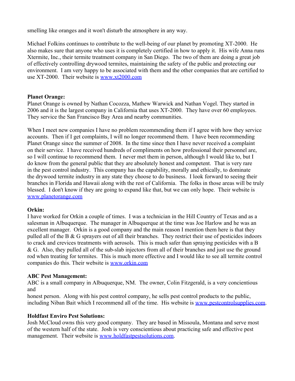smelling like oranges and it won't disturb the atmosphere in any way.

Michael Folkins continues to contribute to the well-being of our planet by promoting XT-2000. He also makes sure that anyone who uses it is completely certified in how to apply it. His wife Anna runs Xtermite, Inc., their termite treatment company in San Diego. The two of them are doing a great job of effectively controlling drywood termites, maintaining the safety of the public and protecting our environment. I am very happy to be associated with them and the other companies that are certified to use XT-2000. Their website is www.xt2000.com

### **Planet Orange:**

Planet Orange is owned by Nathan Cocozza, Mathew Warwick and Nathan Vogel. They started in 2006 and it is the largest company in California that uses XT-2000. They have over 60 employees. They service the San Francisco Bay Area and nearby communities.

When I meet new companies I have no problem recommending them if I agree with how they service accounts. Then if I get complaints, I will no longer recommend them. I have been recommending Planet Orange since the summer of 2008. In the time since then I have never received a complaint on their service. I have received hundreds of compliments on how professional their personnel are, so I will continue to recommend them. I never met them in person, although I would like to, but I do know from the general public that they are absolutely honest and competent. That is very rare in the pest control industry. This company has the capability, morally and ethically, to dominate the drywood termite industry in any state they choose to do business. I look forward to seeing their branches in Florida and Hawaii along with the rest of California. The folks in those areas will be truly blessed. I don't know if they are going to expand like that, but we can only hope. Their website is www.planetorange.com

## **Orkin:**

I have worked for Orkin a couple of times. I was a technician in the Hill Country of Texas and as a salesman in Albuquerque. The manager in Albuquerque at the time was Joe Harlow and he was an excellent manager. Orkin is a good company and the main reason I mention them here is that they pulled all of the B & G sprayers out of all their branches. They restrict their use of pesticides indoors to crack and crevices treatments with aerosols. This is much safer than spraying pesticides with a B & G. Also, they pulled all of the sub-slab injectors from all of their branches and just use the ground rod when treating for termites. This is much more effective and I would like to see all termite control companies do this. Their website is www.orkin.com

## **ABC Pest Management:**

ABC is a small company in Albuquerque, NM. The owner, Colin Fitzgerald, is a very concientious and

honest person. Along with his pest control company, he sells pest control products to the public, including Niban Bait which I recommend all of the time. His website is www.pestcontrolsupplies.com.

## **Holdfast Enviro Pest Solutions:**

Josh McCloud owns this very good company. They are based in Missoula, Montana and serve most of the western half of the state. Josh is very conscientious about practicing safe and effective pest management. Their website is www.holdfastpestsolutions.com.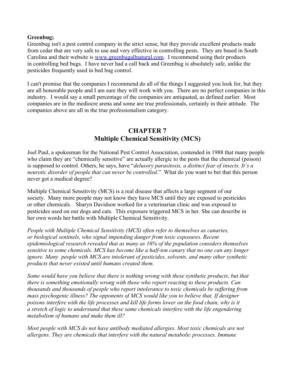### **Greenbug;**

Greenbug isn't a pest control company in the strict sense, but they provide excellent products made from cedar that are very safe to use and very effective in controlling pests. They are based in South Carolina and their website is www.greenbugallnatural.com. I recommend using their products in controlling bed bugs. I have never had a call back and Greenbug is absolutely safe, unlike the pesticides frequently used in bed bug control.

I can't promise that the companies I recommend do all of the things I suggested you look for, but they are all honorable people and I am sure they will work with you. There are no perfect companies in this industry. I would say a small percentage of the companies are antiquated, as defined earlier. Most companies are in the mediocre arena and some are true professionals, certainly in their attitude. The companies above are all in the true professionalism category.

## **CHAPTER 7 Multiple Chemical Sensitivity (MCS)**

Joel Paul, a spokesman for the National Pest Control Association, contended in 1988 that many people who claim they are "chemically sensitive" are actually allergic to the pests that the chemical (poison) is supposed to control. Others, he says, have "*delusory parasitosis, a distinct fear of insects. It's a neurotic disorder of people that can never be controlled*." What do you want to bet that this person never got a medical degree?

Multiple Chemical Sensitivity (MCS) is a real disease that affects a large segment of our society. Many more people may not know they have MCS until they are exposed to pesticides or other chemicals. Sharyn Davidson worked for a veterinarian clinic and was exposed to pesticides used on our dogs and cats. This exposure triggered MCS in her. She can describe in her own words her battle with Multiple Chemical Sensitivity.

*People with Multiple Chemical Sensitivity (MCS) often refer to themselves as canaries, or biological sentinels, who signal impending danger from toxic exposures. Recent epidemiological research revealed that as many as 16% of the population considers themselves sensitive to some chemicals. MCS has become like a half-ton canary that no one can any longer ignore. Many people with MCS are intolerant of pesticides, solvents, and many other synthetic products that never existed until humans created them.* 

*Some would have you believe that there is nothing wrong with these synthetic products, but that there is something emotionally wrong with those who report reacting to these products. Can thousands and thousands of people who report intolerance to toxic chemicals be suffering from mass psychogenic illness? The opponents of MCS would like you to believe that. If designer poisons interfere with the life processes and kill life forms lower on the food chain, why is it a stretch of logic to understand that these same chemicals interfere with the life engendering metabolism of humans and make them ill?* 

*Most people with MCS do not have antibody mediated allergies. Most toxic chemicals are not allergens. They are chemicals that interfere with the natural metabolic processes. Immune*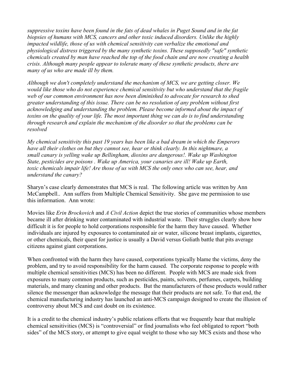*suppressive toxins have been found in the fats of dead whales in Puget Sound and in the fat biopsies of humans with MCS, cancers and other toxic induced disorders. Unlike the highly impacted wildlife, those of us with chemical sensitivity can verbalize the emotional and physiological distress triggered by the many synthetic toxins. These supposedly "safe" synthetic chemicals created by man have reached the top of the food chain and are now creating a health crisis. Although many people appear to tolerate many of these synthetic products, there are many of us who are made ill by them.* 

*Although we don't completely understand the mechanism of MCS, we are getting closer. We would like those who do not experience chemical sensitivity but who understand that the fragile web of our common environment has now been diminished to advocate for research to shed greater understanding of this issue. There can be no resolution of any problem without first acknowledging and understanding the problem. Please become informed about the impact of toxins on the quality of your life. The most important thing we can do is to find understanding through research and explain the mechanism of the disorder so that the problems can be resolved* 

*My chemical sensitivity this past 19 years has been like a bad dream in which the Emperors have all their clothes on but they cannot see, hear or think clearly. In this nightmare, a small canary is yelling wake up Bellingham, dioxins are dangerous!. Wake up Washington State, pesticides are poisons . Wake up America, your canaries are ill! Wake up Earth, toxic chemicals impair life! Are those of us with MCS the only ones who can see, hear, and understand the canary?* 

Sharyn's case clearly demonstrates that MCS is real. The following article was written by Ann McCampbell.. Ann suffers from Multiple Chemical Sensitivity. She gave me permission to use this information. Ann wrote:

Movies like *Erin Brockovich* and *A Civil Action* depict the true stories of communities whose members became ill after drinking water contaminated with industrial waste. Their struggles clearly show how difficult it is for people to hold corporations responsible for the harm they have caused. Whether individuals are injured by exposures to contaminated air or water, silicone breast implants, cigarettes, or other chemicals, their quest for justice is usually a David versus Goliath battle that pits average citizens against giant corporations.

When confronted with the harm they have caused, corporations typically blame the victims, deny the problem, and try to avoid responsibility for the harm caused. The corporate response to people with multiple chemical sensitivities (MCS) has been no different. People with MCS are made sick from exposures to many common products, such as pesticides, paints, solvents, perfumes, carpets, building materials, and many cleaning and other products. But the manufacturers of these products would rather silence the messenger than acknowledge the message that their products are not safe. To that end, the chemical manufacturing industry has launched an anti-MCS campaign designed to create the illusion of controversy about MCS and cast doubt on its existence.

It is a credit to the chemical industry's public relations efforts that we frequently hear that multiple chemical sensitivities (MCS) is "controversial" or find journalists who feel obligated to report "both sides" of the MCS story, or attempt to give equal weight to those who say MCS exists and those who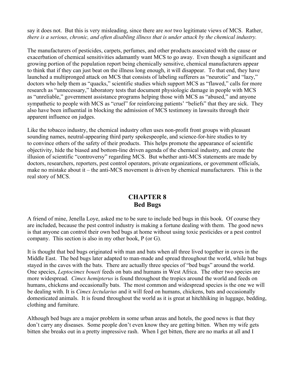say it does not. But this is very misleading, since there are *not* two legitimate views of MCS. Rather, *there is a serious, chronic, and often disabling illness that is under attack by the chemical industry.*

The manufacturers of pesticides, carpets, perfumes, and other products associated with the cause or exacerbation of chemical sensitivities adamantly want MCS to go away. Even though a significant and growing portion of the population report being chemically sensitive, chemical manufacturers appear to think that if they can just beat on the illness long enough, it will disappear. To that end, they have launched a multipronged attack on MCS that consists of labeling sufferers as "neurotic" and "lazy," doctors who help them as "quacks," scientific studies which support MCS as "flawed," calls for more research as "unnecessary," laboratory tests that document physiologic damage in people with MCS as "unreliable," government assistance programs helping those with MCS as "abused," and anyone sympathetic to people with MCS as "cruel" for reinforcing patients' "beliefs" that they are sick. They also have been influential in blocking the admission of MCS testimony in lawsuits through their apparent influence on judges.

Like the tobacco industry, the chemical industry often uses non-profit front groups with pleasant sounding names, neutral-appearing third party spokespeople, and science-for-hire studies to try to convince others of the safety of their products. This helps promote the appearance of scientific objectivity, hide the biased and bottom-line driven agenda of the chemical industry, and create the illusion of scientific "controversy" regarding MCS. But whether anti-MCS statements are made by doctors, researchers, reporters, pest control operators, private organizations, or government officials, make no mistake about it – the anti-MCS movement is driven by chemical manufacturers. This is the real story of MCS.

# **CHAPTER 8 Bed Bugs**

A friend of mine, Jenella Loye, asked me to be sure to include bed bugs in this book. Of course they are included, because the pest control industry is making a fortune dealing with them. The good news is that anyone can control their own bed bugs at home without using toxic pesticides or a pest control company. This section is also in my other book, P (or G).

It is thought that bed bugs originated with man and bats when all three lived together in caves in the Middle East. The bed bugs later adapted to man-made and spread throughout the world, while bat bugs stayed in the caves with the bats. There are actually three species of "bed bugs" around the world. One species, *Leptocimex boueti* feeds on bats and humans in West Africa. The other two species are more widespread. *Cimex hemipterus* is found throughout the tropics around the world and feeds on humans, chickens and occasionally bats. The most common and widespread species is the one we will be dealing with. It is *Cimex lectularius* and it will feed on humans, chickens, bats and occasionally domesticated animals. It is found throughout the world as it is great at hitchhiking in luggage, bedding, clothing and furniture.

Although bed bugs are a major problem in some urban areas and hotels, the good news is that they don't carry any diseases. Some people don't even know they are getting bitten. When my wife gets bitten she breaks out in a pretty impressive rash. When I get bitten, there are no marks at all and I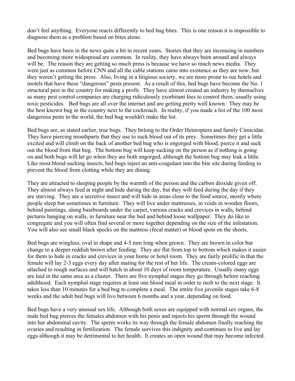don't feel anything. Everyone reacts differently to bed bug bites. This is one reason it is impossible to diagnose them as a problem based on bites alone.

Bed bugs have been in the news quite a bit in recent years. Stories that they are increasing in numbers and becoming more widespread are common. In reality, they have always been around and always will be. The reason they are getting so much press is because we have so much news media. They were just as common before CNN and all the cable stations came into existence as they are now, but they weren't getting the press. Also, living in a litigious society, we are more prone to sue hotels and motels that have these "dangerous" pests present. As a result of this, bed bugs have become the No. 1 structural pest in the country for making a profit. They have almost created an industry by themselves as many pest control companies are charging ridiculously exorbitant fees to control them, usually using toxic pesticides. Bed bugs are all over the internet and are getting pretty well known. They may be the best known bug in the country next to the cockroach. In reality, if you made a list of the 100 most dangerous pests in the world, the bed bug wouldn't make the list.

Bed bugs are, as stated earlier, true bugs. They belong to the Order Heteroptera and family Cimicidae. They have piercing mouthparts that they use to suck blood out of its prey. Sometimes they get a little excited and will climb on the back of another bed bug who is engorged with blood, pierce it and suck out the blood from that bug. The bottom bug will keep sucking on the person as if nothing is going on and both bugs will let go when they are both engorged, although the bottom bug may leak a little. Like most blood-sucking insects, bed bugs inject an anti-coagulant into the bite site during feeding to prevent the blood from clotting while they are dining.

They are attracted to sleeping people by the warmth of the person and the carbon dioxide given off. They almost always feed at night and hide during the day, but they will feed during the day if they are starving. They are a secretive insect and will hide in areas close to the food source, mostly where people sleep but sometimes in furniture. They will live under mattresses, in voids in wooden floors, behind paintings, along baseboards under the carpet, various cracks and crevices in walls, behind pictures hanging on walls, in furniture near the bed and behind loose wallpaper. They do like to congregate and you will often find several or more together depending on the size of the infestation. You will also see small black specks on the mattress (fecal matter) or blood spots on the sheets.

Bed bugs are wingless, oval in shape and 4-5 mm long when grown. They are brown in color but change to a deeper reddish brown after feeding. They are flat from top to bottom which makes it easier for them to hide in cracks and crevices in your home or hotel room. They are fairly prolific in that the female will lay 2-3 eggs every day after mating for the rest of her life. The cream-colored eggs are attached to rough surfaces and will hatch in about 10 days of room temperature. Usually many eggs are laid in the same area as a cluster. There are five nymphal stages they go through before reaching adulthood. Each nymphal stage requires at least one blood meal in order to molt to the next stage. It takes less than 10 minutes for a bed bug to complete a meal. The entire five juvenile stages take 6-8 weeks and the adult bed bugs will live between 6 months and a year, depending on food.

Bed bugs have a very unusual sex life. Although both sexes are equipped with normal sex organs, the male bed bug pierces the females abdomen with his penis and injects his sperm through the wound into her abdominal cavity. The sperm works its way through the female abdomen finally reaching the ovaries and resulting in fertilization. The female survives this indignity and continues to live and lay eggs although it may be detrimental to her health. It creates an open wound that may become infected.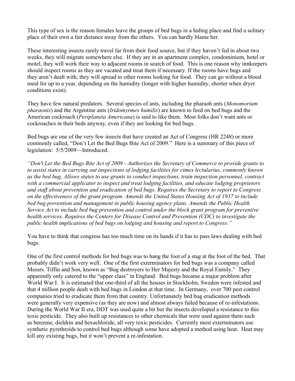This type of sex is the reason females leave the groups of bed bugs in a hiding place and find a solitary place of their own a fair distance away from the others. You can hardly blame her.

These interesting insects rarely travel far from their food source, but if they haven't fed in about two weeks, they will migrate somewhere else. If they are in an apartment complex, condominium, hotel or motel, they will work their way to adjacent rooms in search of food. This is one reason why innkeepers should inspect rooms as they are vacated and treat them if necessary. If the rooms have bugs and they aren't dealt with, they will spread to other rooms looking for food. They can go without a blood meal for up to a year, depending on the humidity (longer with higher humidity, shorter when dryer conditions exist).

They have few natural predators. Several species of ants, including the pharaoh ants (*Monomorium pharaonis*) and the Argentine ants (*Iridomyrmex humilis*) are known to feed on bed bugs and the American cockroach (*Periplaneta Americana*) is said to like them. Most folks don't want ants or cockroaches in their beds anyway, even if they are looking for bed bugs.

Bed bugs are one of the very few insects that have created an Act of Congress (HR 2248) or more commonly called, "Don't Let the Bed Bugs Bite Act of 2009." Here is a summary of this piece of legislation: 5/5/2009—Introduced.

*"Don't Let the Bed Bugs Bite Act of 2009 - Authorizes the Secretary of Commerce to provide grants to to assist states in carrying out inspections of lodging facilities for cimex lectularius, commonly known as the bed bug. Allows states to use grants to conduct inspections, train inspection personnel, contract with a commercial applicator to inspect and treat lodging facilities, and educate lodging proprietors and staff about prevention and eradication of bed bugs. Requires the Secretary to report to Congress on the effectiveness of the grant program. Amends the United States Housing Act of 1937 to include bed bug prevention and management in public housing agency plans. Amends the Public Health Service Act to include bed bug prevention and control under the block grant program for preventive health services. Requires the Centers for Disease Control and Prevention (CDC) to investigate the public health implications of bed bugs on lodging and housing and report to Congress."*

You have to think that congress has too much time on its hands if it has to pass laws dealing with bed bugs.

One of the first control methods for bed bugs was to hang the foot of a stag at the foot of the bed. That probably didn't work very well. One of the first exterminators for bed bugs was a company called Messrs. Tiffin and Son, known as "Bug destroyers to Her Majesty and the Royal Family." They apparently only catered to the "upper class" in England. Bed bugs became a major problem after World War I. It is estimated that one-third of all the houses in Stockholm, Sweden were infested and that 4 million people dealt with bed bugs in London at that time. In Germany, over 700 pest control companies tried to eradicate them from that country. Unfortunately bed bug eradication methods were generally very expensive (as they are now) and almost always failed because of re-infestations. During the World War II era, DDT was used quite a bit but the insects developed a resistance to this toxic pesticide. They also built up resistances to other chemicals that were used against them such as benzene, dieldrin and hexachloride, all very toxic pesticides. Currently most exterminators use synthetic pyrethroids to control bed bugs although some have adopted a method using heat. Heat may kill any existing bugs, but it won't prevent a re-infestation.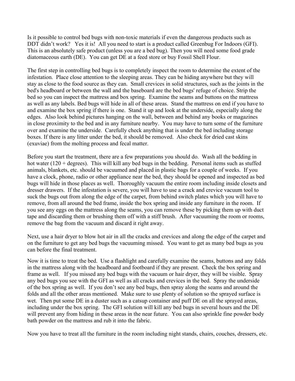Is it possible to control bed bugs with non-toxic materials if even the dangerous products such as DDT didn't work? Yes it is! All you need to start is a product called Greenbug For Indoors (GFI). This is an absolutely safe product (unless you are a bed bug). Then you will need some food grade diatomaceous earth (DE). You can get DE at a feed store or buy Fossil Shell Flour.

The first step in controlling bed bugs is to completely inspect the room to determine the extent of the infestation. Place close attention to the sleeping areas. They can be hiding anywhere but they will stay as close to the food source as they can. Small crevices in solid structures, such as the joints in the bed's headboard or between the wall and the baseboard are the bed bugs' refuge of choice. Strip the bed so you can inspect the mattress and box spring. Examine the seams and buttons on the mattress as well as any labels. Bed bugs will hide in all of these areas. Stand the mattress on end if you have to and examine the box spring if there is one. Stand it up and look at the underside, especially along the edges. Also look behind pictures hanging on the wall, between and behind any books or magazines in close proximity to the bed and in any furniture nearby. You may have to turn some of the furniture over and examine the underside. Carefully check anything that is under the bed including storage boxes. If there is any litter under the bed, it should be removed. Also check for dried cast skins (exuviae) from the molting process and fecal matter.

Before you start the treatment, there are a few preparations you should do. Wash all the bedding in hot water (120 + degrees). This will kill any bed bugs in the bedding. Personal items such as stuffed animals, blankets, etc. should be vacuumed and placed in plastic bags for a couple of weeks. If you have a clock, phone, radio or other appliance near the bed, they should be opened and inspected as bed bugs will hide in those places as well. Thoroughly vacuum the entire room including inside closets and dresser drawers. If the infestation is severe, you will have to use a crack and crevice vacuum tool to suck the bugs out from along the edge of the carpet, from behind switch plates which you will have to remove, from all around the bed frame, inside the box spring and inside any furniture in the room. If you see any eggs on the mattress along the seams, you can remove these by picking them up with duct tape and discarding them or brushing them off with a stiff brush. After vacuuming the room or rooms, remove the bag from the vacuum and discard it right away.

Next, use a hair dryer to blow hot air in all the cracks and crevices and along the edge of the carpet and on the furniture to get any bed bugs the vacuuming missed. You want to get as many bed bugs as you can before the final treatment.

Now it is time to treat the bed. Use a flashlight and carefully examine the seams, buttons and any folds in the mattress along with the headboard and footboard if they are present. Check the box spring and frame as well. If you missed any bed bugs with the vacuum or hair dryer, they will be visible. Spray any bed bugs you see with the GFI as well as all cracks and crevices in the bed. Spray the underside of the box spring as well. If you don't see any bed bugs, then spray along the seams and around the folds and all the other areas mentioned. Make sure to use plenty of solution so the sprayed surface is wet. Then put some DE in a duster such as a catsup container and puff DE on all the sprayed areas, including under the box spring. The GFI solution will kill any bed bugs in several hours and the DE will prevent any from hiding in these areas in the near future. You can also sprinkle fine powder body bath powder on the mattress and rub it into the fabric.

Now you have to treat all the furniture in the room including night stands, chairs, couches, dressers, etc.